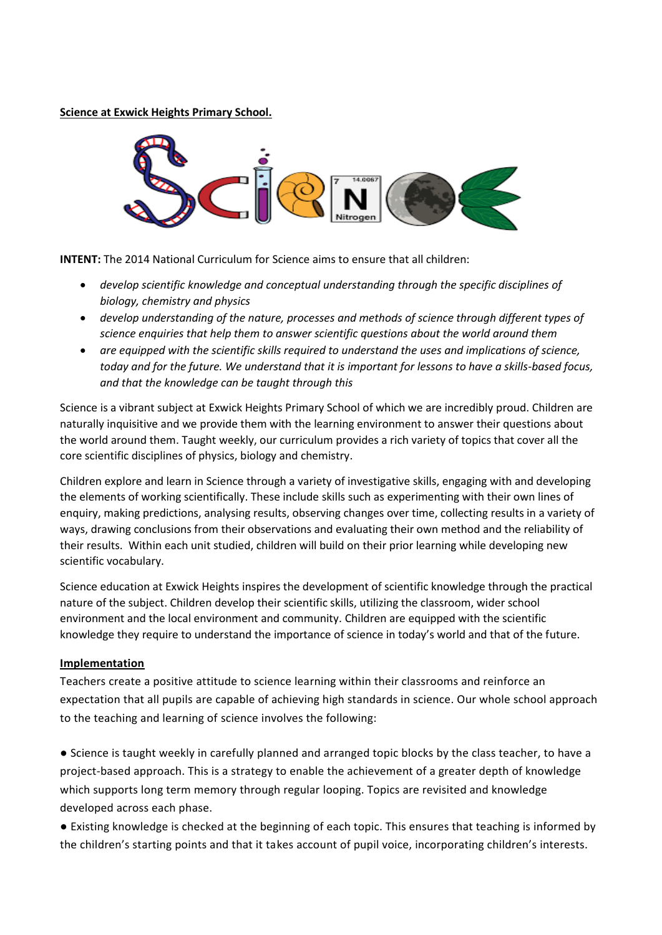**Science at Exwick Heights Primary School.**



**INTENT:** The 2014 National Curriculum for Science aims to ensure that all children:

- *develop scientific knowledge and conceptual understanding through the specific disciplines of biology, chemistry and physics*
- *develop understanding of the nature, processes and methods of science through different types of science enquiries that help them to answer scientific questions about the world around them*
- *are equipped with the scientific skills required to understand the uses and implications of science, today and for the future. We understand that it is important for lessons to have a skills-based focus, and that the knowledge can be taught through this*

Science is a vibrant subject at Exwick Heights Primary School of which we are incredibly proud. Children are naturally inquisitive and we provide them with the learning environment to answer their questions about the world around them. Taught weekly, our curriculum provides a rich variety of topics that cover all the core scientific disciplines of physics, biology and chemistry.

Children explore and learn in Science through a variety of investigative skills, engaging with and developing the elements of working scientifically. These include skills such as experimenting with their own lines of enquiry, making predictions, analysing results, observing changes over time, collecting results in a variety of ways, drawing conclusions from their observations and evaluating their own method and the reliability of their results. Within each unit studied, children will build on their prior learning while developing new scientific vocabulary.

Science education at Exwick Heights inspires the development of scientific knowledge through the practical nature of the subject. Children develop their scientific skills, utilizing the classroom, wider school environment and the local environment and community. Children are equipped with the scientific knowledge they require to understand the importance of science in today's world and that of the future.

## **Implementation**

Teachers create a positive attitude to science learning within their classrooms and reinforce an expectation that all pupils are capable of achieving high standards in science. Our whole school approach to the teaching and learning of science involves the following:

● Science is taught weekly in carefully planned and arranged topic blocks by the class teacher, to have a project-based approach. This is a strategy to enable the achievement of a greater depth of knowledge which supports long term memory through regular looping. Topics are revisited and knowledge developed across each phase.

● Existing knowledge is checked at the beginning of each topic. This ensures that teaching is informed by the children's starting points and that it takes account of pupil voice, incorporating children's interests.